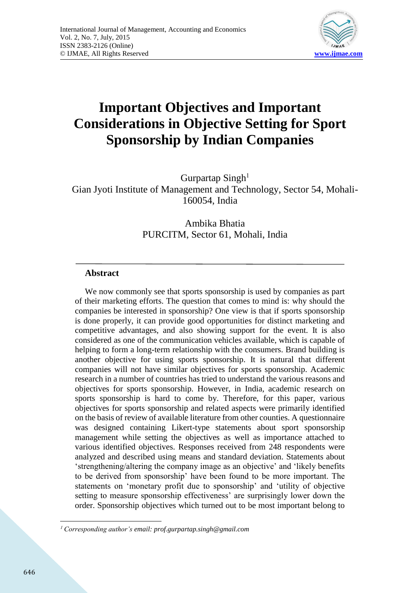

# **Important Objectives and Important Considerations in Objective Setting for Sport Sponsorship by Indian Companies**

Gurpartap Singh<sup>1</sup> Gian Jyoti Institute of Management and Technology, Sector 54, Mohali-160054, India

> Ambika Bhatia PURCITM, Sector 61, Mohali, India

## **Abstract**

We now commonly see that sports sponsorship is used by companies as part of their marketing efforts. The question that comes to mind is: why should the companies be interested in sponsorship? One view is that if sports sponsorship is done properly, it can provide good opportunities for distinct marketing and competitive advantages, and also showing support for the event. It is also considered as one of the communication vehicles available, which is capable of helping to form a long-term relationship with the consumers. Brand building is another objective for using sports sponsorship. It is natural that different companies will not have similar objectives for sports sponsorship. Academic research in a number of countries has tried to understand the various reasons and objectives for sports sponsorship. However, in India, academic research on sports sponsorship is hard to come by. Therefore, for this paper, various objectives for sports sponsorship and related aspects were primarily identified on the basis of review of available literature from other counties. A questionnaire was designed containing Likert-type statements about sport sponsorship management while setting the objectives as well as importance attached to various identified objectives. Responses received from 248 respondents were analyzed and described using means and standard deviation. Statements about 'strengthening/altering the company image as an objective' and 'likely benefits to be derived from sponsorship' have been found to be more important. The statements on 'monetary profit due to sponsorship' and 'utility of objective setting to measure sponsorship effectiveness' are surprisingly lower down the order. Sponsorship objectives which turned out to be most important belong to

**<sup>.</sup>** <sup>1</sup> *Corresponding author's email: prof.gurpartap.singh@gmail.com*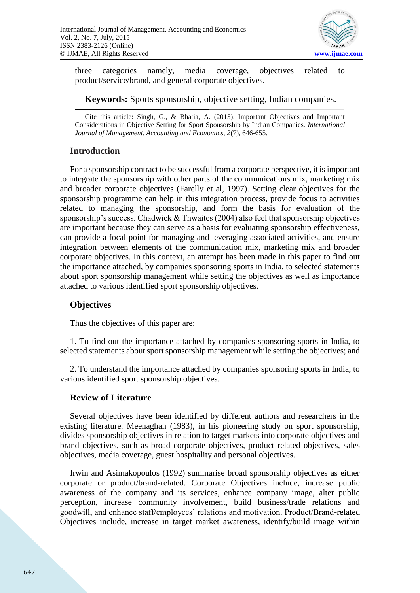

three categories namely, media coverage, objectives related to product/service/brand, and general corporate objectives.

**Keywords:** Sports sponsorship, objective setting, Indian companies.

Cite this article: Singh, G., & Bhatia, A. (2015). Important Objectives and Important Considerations in Objective Setting for Sport Sponsorship by Indian Companies. *International Journal of Management, Accounting and Economics, 2*(7), 646-655.

## **Introduction**

For a sponsorship contract to be successful from a corporate perspective, it is important to integrate the sponsorship with other parts of the communications mix, marketing mix and broader corporate objectives (Farelly et al, 1997). Setting clear objectives for the sponsorship programme can help in this integration process, provide focus to activities related to managing the sponsorship, and form the basis for evaluation of the sponsorship's success. Chadwick & Thwaites (2004) also feel that sponsorship objectives are important because they can serve as a basis for evaluating sponsorship effectiveness, can provide a focal point for managing and leveraging associated activities, and ensure integration between elements of the communication mix, marketing mix and broader corporate objectives. In this context, an attempt has been made in this paper to find out the importance attached, by companies sponsoring sports in India, to selected statements about sport sponsorship management while setting the objectives as well as importance attached to various identified sport sponsorship objectives.

## **Objectives**

Thus the objectives of this paper are:

1. To find out the importance attached by companies sponsoring sports in India, to selected statements about sport sponsorship management while setting the objectives; and

2. To understand the importance attached by companies sponsoring sports in India, to various identified sport sponsorship objectives.

### **Review of Literature**

Several objectives have been identified by different authors and researchers in the existing literature. Meenaghan (1983), in his pioneering study on sport sponsorship, divides sponsorship objectives in relation to target markets into corporate objectives and brand objectives, such as broad corporate objectives, product related objectives, sales objectives, media coverage, guest hospitality and personal objectives.

Irwin and Asimakopoulos (1992) summarise broad sponsorship objectives as either corporate or product/brand-related. Corporate Objectives include, increase public awareness of the company and its services, enhance company image, alter public perception, increase community involvement, build business/trade relations and goodwill, and enhance staff/employees' relations and motivation. Product/Brand-related Objectives include, increase in target market awareness, identify/build image within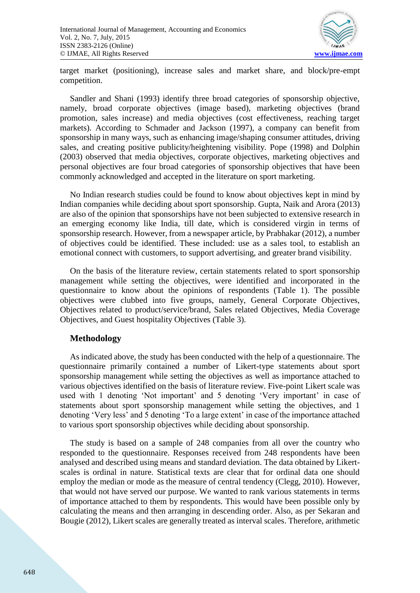

target market (positioning), increase sales and market share, and block/pre-empt competition.

Sandler and Shani (1993) identify three broad categories of sponsorship objective, namely, broad corporate objectives (image based), marketing objectives (brand promotion, sales increase) and media objectives (cost effectiveness, reaching target markets). According to Schmader and Jackson (1997), a company can benefit from sponsorship in many ways, such as enhancing image/shaping consumer attitudes, driving sales, and creating positive publicity/heightening visibility. Pope (1998) and Dolphin (2003) observed that media objectives, corporate objectives, marketing objectives and personal objectives are four broad categories of sponsorship objectives that have been commonly acknowledged and accepted in the literature on sport marketing.

No Indian research studies could be found to know about objectives kept in mind by Indian companies while deciding about sport sponsorship. Gupta, Naik and Arora (2013) are also of the opinion that sponsorships have not been subjected to extensive research in an emerging economy like India, till date, which is considered virgin in terms of sponsorship research. However, from a newspaper article, by Prabhakar (2012), a number of objectives could be identified. These included: use as a sales tool, to establish an emotional connect with customers, to support advertising, and greater brand visibility.

On the basis of the literature review, certain statements related to sport sponsorship management while setting the objectives, were identified and incorporated in the questionnaire to know about the opinions of respondents (Table 1). The possible objectives were clubbed into five groups, namely, General Corporate Objectives, Objectives related to product/service/brand, Sales related Objectives, Media Coverage Objectives, and Guest hospitality Objectives (Table 3).

### **Methodology**

As indicated above, the study has been conducted with the help of a questionnaire. The questionnaire primarily contained a number of Likert-type statements about sport sponsorship management while setting the objectives as well as importance attached to various objectives identified on the basis of literature review. Five-point Likert scale was used with 1 denoting 'Not important' and 5 denoting 'Very important' in case of statements about sport sponsorship management while setting the objectives, and 1 denoting 'Very less' and 5 denoting 'To a large extent' in case of the importance attached to various sport sponsorship objectives while deciding about sponsorship.

The study is based on a sample of 248 companies from all over the country who responded to the questionnaire. Responses received from 248 respondents have been analysed and described using means and standard deviation. The data obtained by Likertscales is ordinal in nature. Statistical texts are clear that for ordinal data one should employ the median or mode as the measure of central tendency (Clegg, 2010). However, that would not have served our purpose. We wanted to rank various statements in terms of importance attached to them by respondents. This would have been possible only by calculating the means and then arranging in descending order. Also, as per Sekaran and Bougie (2012), Likert scales are generally treated as interval scales. Therefore, arithmetic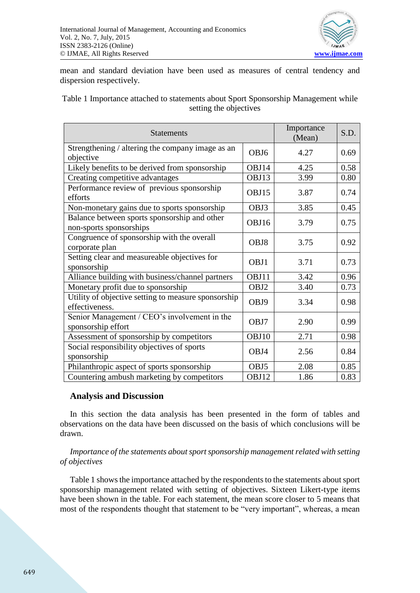

mean and standard deviation have been used as measures of central tendency and dispersion respectively.

Table 1 Importance attached to statements about Sport Sponsorship Management while setting the objectives

| <b>Statements</b>                                                       |                  | Importance<br>(Mean) | S.D. |
|-------------------------------------------------------------------------|------------------|----------------------|------|
| Strengthening / altering the company image as an<br>objective           | OBJ <sub>6</sub> | 4.27                 | 0.69 |
| Likely benefits to be derived from sponsorship                          | OBJ14            | 4.25                 | 0.58 |
| Creating competitive advantages                                         | OBJ13            | 3.99                 | 0.80 |
| Performance review of previous sponsorship<br>efforts                   | OBJ15            | 3.87                 | 0.74 |
| Non-monetary gains due to sports sponsorship                            | OBJ3             | 3.85                 | 0.45 |
| Balance between sports sponsorship and other<br>non-sports sponsorships | OBJ16            | 3.79                 | 0.75 |
| Congruence of sponsorship with the overall<br>corporate plan            | OBJ8             | 3.75                 | 0.92 |
| Setting clear and measureable objectives for<br>sponsorship             | OBJ1             | 3.71                 | 0.73 |
| Alliance building with business/channel partners                        | OBJ11            | 3.42                 | 0.96 |
| Monetary profit due to sponsorship                                      | OBJ2             | 3.40                 | 0.73 |
| Utility of objective setting to measure sponsorship<br>effectiveness.   | OBJ9             | 3.34                 | 0.98 |
| Senior Management / CEO's involvement in the<br>sponsorship effort      | OBJ7             | 2.90                 | 0.99 |
| Assessment of sponsorship by competitors                                | OBJ10            | 2.71                 | 0.98 |
| Social responsibility objectives of sports<br>sponsorship               | OBJ4             | 2.56                 | 0.84 |
| Philanthropic aspect of sports sponsorship                              | OBJ5             | 2.08                 | 0.85 |
| Countering ambush marketing by competitors                              | OBJ12            | 1.86                 | 0.83 |

#### **Analysis and Discussion**

In this section the data analysis has been presented in the form of tables and observations on the data have been discussed on the basis of which conclusions will be drawn.

#### *Importance of the statements about sport sponsorship management related with setting of objectives*

Table 1 shows the importance attached by the respondents to the statements about sport sponsorship management related with setting of objectives. Sixteen Likert-type items have been shown in the table. For each statement, the mean score closer to 5 means that most of the respondents thought that statement to be "very important", whereas, a mean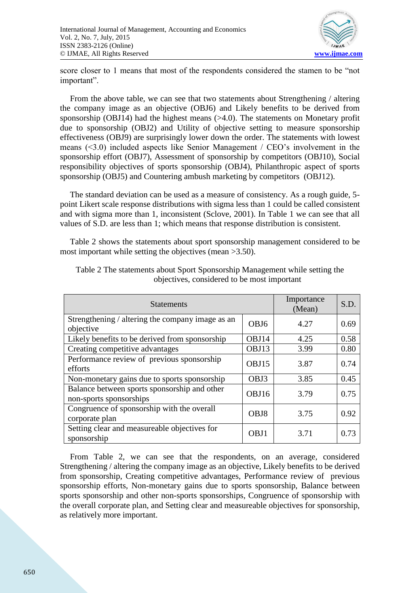

score closer to 1 means that most of the respondents considered the stamen to be "not important".

From the above table, we can see that two statements about Strengthening / altering the company image as an objective (OBJ6) and Likely benefits to be derived from sponsorship (OBJ14) had the highest means (>4.0). The statements on Monetary profit due to sponsorship (OBJ2) and Utility of objective setting to measure sponsorship effectiveness (OBJ9) are surprisingly lower down the order. The statements with lowest means (<3.0) included aspects like Senior Management / CEO's involvement in the sponsorship effort (OBJ7), Assessment of sponsorship by competitors (OBJ10), Social responsibility objectives of sports sponsorship (OBJ4), Philanthropic aspect of sports sponsorship (OBJ5) and Countering ambush marketing by competitors (OBJ12).

The standard deviation can be used as a measure of consistency. As a rough guide, 5 point Likert scale response distributions with sigma less than 1 could be called consistent and with sigma more than 1, inconsistent (Sclove, 2001). In Table 1 we can see that all values of S.D. are less than 1; which means that response distribution is consistent.

Table 2 shows the statements about sport sponsorship management considered to be most important while setting the objectives (mean >3.50).

| <b>Statements</b>                                                       |                  | Importance<br>(Mean) | S.D. |
|-------------------------------------------------------------------------|------------------|----------------------|------|
| Strengthening / altering the company image as an<br>objective           | OBJ <sub>6</sub> | 4.27                 | 0.69 |
| Likely benefits to be derived from sponsorship                          | OBJ14            | 4.25                 | 0.58 |
| Creating competitive advantages                                         | OBJ13            | 3.99                 | 0.80 |
| Performance review of previous sponsorship<br>efforts                   | OBJ15            | 3.87                 | 0.74 |
| Non-monetary gains due to sports sponsorship                            | OBJ3             | 3.85                 | 0.45 |
| Balance between sports sponsorship and other<br>non-sports sponsorships | OBJ16            | 3.79                 | 0.75 |
| Congruence of sponsorship with the overall<br>corporate plan            | OBJ8             | 3.75                 | 0.92 |
| Setting clear and measureable objectives for<br>sponsorship             | OBJ1             | 3.71                 | 0.73 |

Table 2 The statements about Sport Sponsorship Management while setting the objectives, considered to be most important

From Table 2, we can see that the respondents, on an average, considered Strengthening / altering the company image as an objective, Likely benefits to be derived from sponsorship, Creating competitive advantages, Performance review of previous sponsorship efforts, Non-monetary gains due to sports sponsorship, Balance between sports sponsorship and other non-sports sponsorships, Congruence of sponsorship with the overall corporate plan, and Setting clear and measureable objectives for sponsorship, as relatively more important.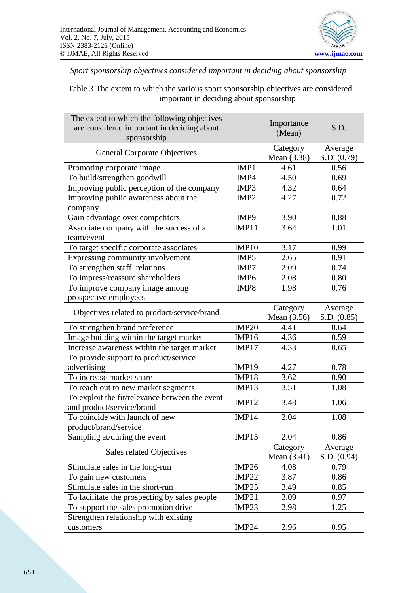

*Sport sponsorship objectives considered important in deciding about sponsorship*

Table 3 The extent to which the various sport sponsorship objectives are considered important in deciding about sponsorship

| The extent to which the following objectives<br>are considered important in deciding about<br>sponsorship |                   | Importance<br>(Mean) | S.D.        |  |
|-----------------------------------------------------------------------------------------------------------|-------------------|----------------------|-------------|--|
| <b>General Corporate Objectives</b>                                                                       |                   | Category             | Average     |  |
|                                                                                                           |                   | Mean (3.38)          | S.D. (0.79) |  |
| Promoting corporate image                                                                                 | IMP1              | 4.61                 | 0.56        |  |
| To build/strengthen goodwill                                                                              | IMP4              | 4.50                 | 0.69        |  |
| Improving public perception of the company                                                                | IMP3              | 4.32                 | 0.64        |  |
| Improving public awareness about the                                                                      | IMP <sub>2</sub>  | 4.27                 | 0.72        |  |
| company                                                                                                   |                   |                      |             |  |
| Gain advantage over competitors                                                                           | IMP9              | 3.90                 | 0.88        |  |
| Associate company with the success of a                                                                   | IMP11             | 3.64                 | 1.01        |  |
| team/event                                                                                                |                   |                      |             |  |
| To target specific corporate associates                                                                   | <b>IMP10</b>      | 3.17                 | 0.99        |  |
| Expressing community involvement                                                                          | IMP5              | 2.65                 | 0.91        |  |
| To strengthen staff relations                                                                             | IMP7              | 2.09                 | 0.74        |  |
| To impress/reassure shareholders                                                                          | IMP <sub>6</sub>  | 2.08                 | 0.80        |  |
| To improve company image among                                                                            | IMP8              | 1.98                 | 0.76        |  |
| prospective employees                                                                                     |                   |                      |             |  |
|                                                                                                           |                   | Category             | Average     |  |
| Objectives related to product/service/brand                                                               |                   | Mean (3.56)          | S.D. (0.85) |  |
| To strengthen brand preference                                                                            | IMP <sub>20</sub> | 4.41                 | 0.64        |  |
| Image building within the target market                                                                   | IMP16             | 4.36                 | 0.59        |  |
| Increase awareness within the target market                                                               | IMP17             | 4.33                 | 0.65        |  |
| To provide support to product/service                                                                     |                   |                      |             |  |
| advertising                                                                                               | IMP19             | 4.27                 | 0.78        |  |
| To increase market share                                                                                  | IMP18             | 3.62                 | 0.90        |  |
| To reach out to new market segments                                                                       | IMP13             | 3.51                 | 1.08        |  |
| To exploit the fit/relevance between the event                                                            | IMP12             | 3.48                 | 1.06        |  |
| and product/service/brand                                                                                 |                   |                      |             |  |
| To coincide with launch of new                                                                            | IMP14             | 2.04                 | 1.08        |  |
| product/brand/service                                                                                     |                   |                      |             |  |
| Sampling at/during the event                                                                              | IMP15             | 2.04                 | 0.86        |  |
| Sales related Objectives                                                                                  |                   | Category             | Average     |  |
|                                                                                                           |                   | Mean $(3.41)$        | S.D. (0.94) |  |
| Stimulate sales in the long-run                                                                           | IMP <sub>26</sub> | 4.08                 | 0.79        |  |
| To gain new customers                                                                                     | <b>IMP22</b>      | 3.87                 | 0.86        |  |
| Stimulate sales in the short-run                                                                          | IMP25             | 3.49                 | 0.85        |  |
| To facilitate the prospecting by sales people                                                             | IMP21             | 3.09                 | 0.97        |  |
| To support the sales promotion drive                                                                      | IMP <sub>23</sub> | 2.98                 | 1.25        |  |
| Strengthen relationship with existing                                                                     |                   |                      |             |  |
| customers                                                                                                 | IMP <sub>24</sub> | 2.96                 | 0.95        |  |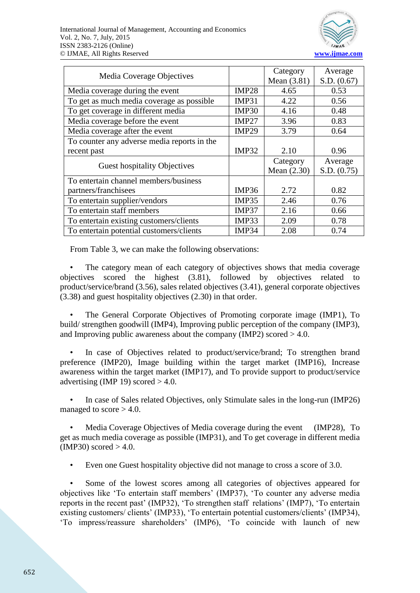

|                                             |                   | Category      | Average     |
|---------------------------------------------|-------------------|---------------|-------------|
| Media Coverage Objectives                   |                   | Mean (3.81)   | S.D. (0.67) |
| Media coverage during the event             | <b>IMP28</b>      | 4.65          | 0.53        |
| To get as much media coverage as possible   | IMP31             | 4.22          | 0.56        |
| To get coverage in different media          | IMP30             | 4.16          | 0.48        |
| Media coverage before the event             | IMP27             | 3.96          | 0.83        |
| Media coverage after the event              | IMP <sub>29</sub> | 3.79          | 0.64        |
| To counter any adverse media reports in the |                   |               |             |
| recent past                                 | IMP32             | 2.10          | 0.96        |
| <b>Guest hospitality Objectives</b>         |                   | Category      | Average     |
|                                             |                   | Mean $(2.30)$ | S.D. (0.75) |
| To entertain channel members/business       |                   |               |             |
| partners/franchisees                        | IMP36             | 2.72          | 0.82        |
| To entertain supplier/vendors               | IMP35             | 2.46          | 0.76        |
| To entertain staff members                  | IMP37             | 2.16          | 0.66        |
| To entertain existing customers/clients     | IMP33             | 2.09          | 0.78        |
| To entertain potential customers/clients    | IMP34             | 2.08          | 0.74        |

From Table 3, we can make the following observations:

The category mean of each category of objectives shows that media coverage objectives scored the highest (3.81), followed by objectives related to product/service/brand (3.56), sales related objectives (3.41), general corporate objectives (3.38) and guest hospitality objectives (2.30) in that order.

• The General Corporate Objectives of Promoting corporate image (IMP1), To build/ strengthen goodwill (IMP4), Improving public perception of the company (IMP3), and Improving public awareness about the company (IMP2) scored  $>4.0$ .

• In case of Objectives related to product/service/brand; To strengthen brand preference (IMP20), Image building within the target market (IMP16), Increase awareness within the target market (IMP17), and To provide support to product/service advertising (IMP 19) scored  $> 4.0$ .

• In case of Sales related Objectives, only Stimulate sales in the long-run (IMP26) managed to score  $> 4.0$ .

• Media Coverage Objectives of Media coverage during the event (IMP28), To get as much media coverage as possible (IMP31), and To get coverage in different media  $(IMP30)$  scored  $> 4.0$ .

• Even one Guest hospitality objective did not manage to cross a score of 3.0.

Some of the lowest scores among all categories of objectives appeared for objectives like 'To entertain staff members' (IMP37), 'To counter any adverse media reports in the recent past' (IMP32), 'To strengthen staff relations' (IMP7), 'To entertain existing customers/ clients' (IMP33), 'To entertain potential customers/clients' (IMP34), 'To impress/reassure shareholders' (IMP6), 'To coincide with launch of new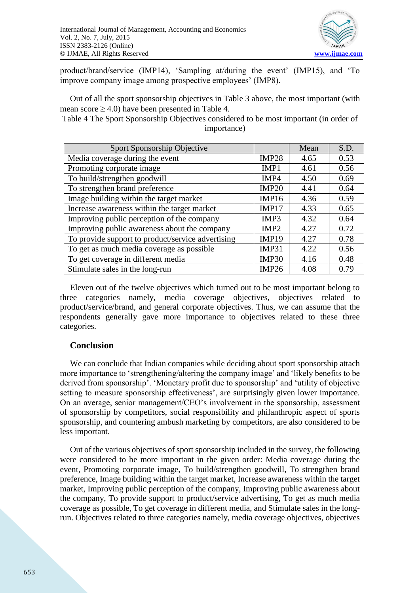

product/brand/service (IMP14), 'Sampling at/during the event' (IMP15), and 'To improve company image among prospective employees' (IMP8).

Out of all the sport sponsorship objectives in Table 3 above, the most important (with mean score  $\geq$  4.0) have been presented in Table 4.

Table 4 The Sport Sponsorship Objectives considered to be most important (in order of importance)

| Sport Sponsorship Objective                       |                   | Mean | S.D. |
|---------------------------------------------------|-------------------|------|------|
| Media coverage during the event                   | IMP <sub>28</sub> | 4.65 | 0.53 |
| Promoting corporate image                         | IMP1              | 4.61 | 0.56 |
| To build/strengthen goodwill                      | IMP4              | 4.50 | 0.69 |
| To strengthen brand preference                    | IMP20             | 4.41 | 0.64 |
| Image building within the target market           | IMP16             | 4.36 | 0.59 |
| Increase awareness within the target market       | IMP17             | 4.33 | 0.65 |
| Improving public perception of the company        | IMP3              | 4.32 | 0.64 |
| Improving public awareness about the company      | IMP <sub>2</sub>  | 4.27 | 0.72 |
| To provide support to product/service advertising | IMP19             | 4.27 | 0.78 |
| To get as much media coverage as possible         | IMP31             | 4.22 | 0.56 |
| To get coverage in different media                | IMP30             | 4.16 | 0.48 |
| Stimulate sales in the long-run                   | IMP26             | 4.08 | 0.79 |

Eleven out of the twelve objectives which turned out to be most important belong to three categories namely, media coverage objectives, objectives related to product/service/brand, and general corporate objectives. Thus, we can assume that the respondents generally gave more importance to objectives related to these three categories.

### **Conclusion**

We can conclude that Indian companies while deciding about sport sponsorship attach more importance to 'strengthening/altering the company image' and 'likely benefits to be derived from sponsorship'. 'Monetary profit due to sponsorship' and 'utility of objective setting to measure sponsorship effectiveness', are surprisingly given lower importance. On an average, senior management/CEO's involvement in the sponsorship, assessment of sponsorship by competitors, social responsibility and philanthropic aspect of sports sponsorship, and countering ambush marketing by competitors, are also considered to be less important.

Out of the various objectives of sport sponsorship included in the survey, the following were considered to be more important in the given order: Media coverage during the event, Promoting corporate image, To build/strengthen goodwill, To strengthen brand preference, Image building within the target market, Increase awareness within the target market, Improving public perception of the company, Improving public awareness about the company, To provide support to product/service advertising, To get as much media coverage as possible, To get coverage in different media, and Stimulate sales in the longrun. Objectives related to three categories namely, media coverage objectives, objectives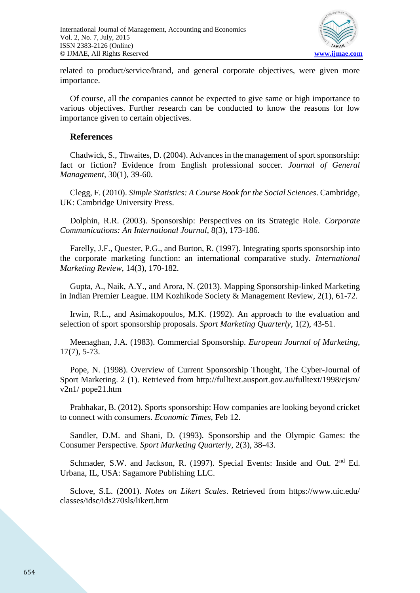

related to product/service/brand, and general corporate objectives, were given more importance.

Of course, all the companies cannot be expected to give same or high importance to various objectives. Further research can be conducted to know the reasons for low importance given to certain objectives.

#### **References**

Chadwick, S., Thwaites, D. (2004). Advances in the management of sport sponsorship: fact or fiction? Evidence from English professional soccer. *Journal of General Management*, 30(1), 39-60.

Clegg, F. (2010). *Simple Statistics: A Course Book for the Social Sciences*. Cambridge, UK: Cambridge University Press.

Dolphin, R.R. (2003). Sponsorship: Perspectives on its Strategic Role. *Corporate Communications: An International Journal*, 8(3), 173-186.

Farelly, J.F., Quester, P.G., and Burton, R. (1997). Integrating sports sponsorship into the corporate marketing function: an international comparative study. *International Marketing Review*, 14(3), 170-182.

Gupta, A., Naik, A.Y., and Arora, N. (2013). Mapping Sponsorship-linked Marketing in Indian Premier League. IIM Kozhikode Society & Management Review, 2(1), 61-72.

Irwin, R.L., and Asimakopoulos, M.K. (1992). An approach to the evaluation and selection of sport sponsorship proposals. *Sport Marketing Quarterly*, 1(2), 43-51.

Meenaghan, J.A. (1983). Commercial Sponsorship. *European Journal of Marketing*, 17(7), 5-73.

Pope, N. (1998). Overview of Current Sponsorship Thought, The Cyber-Journal of Sport Marketing. 2 (1). Retrieved from http://fulltext.ausport.gov.au/fulltext/1998/cjsm/ v2n1/ pope21.htm

Prabhakar, B. (2012). Sports sponsorship: How companies are looking beyond cricket to connect with consumers. *Economic Times*, Feb 12.

Sandler, D.M. and Shani, D. (1993). Sponsorship and the Olympic Games: the Consumer Perspective. *Sport Marketing Quarterly*, 2(3), 38-43.

Schmader, S.W. and Jackson, R. (1997). Special Events: Inside and Out. 2<sup>nd</sup> Ed. Urbana, IL, USA: Sagamore Publishing LLC.

Sclove, S.L. (2001). *Notes on Likert Scales*. Retrieved from https://www.uic.edu/ classes/idsc/ids270sls/likert.htm